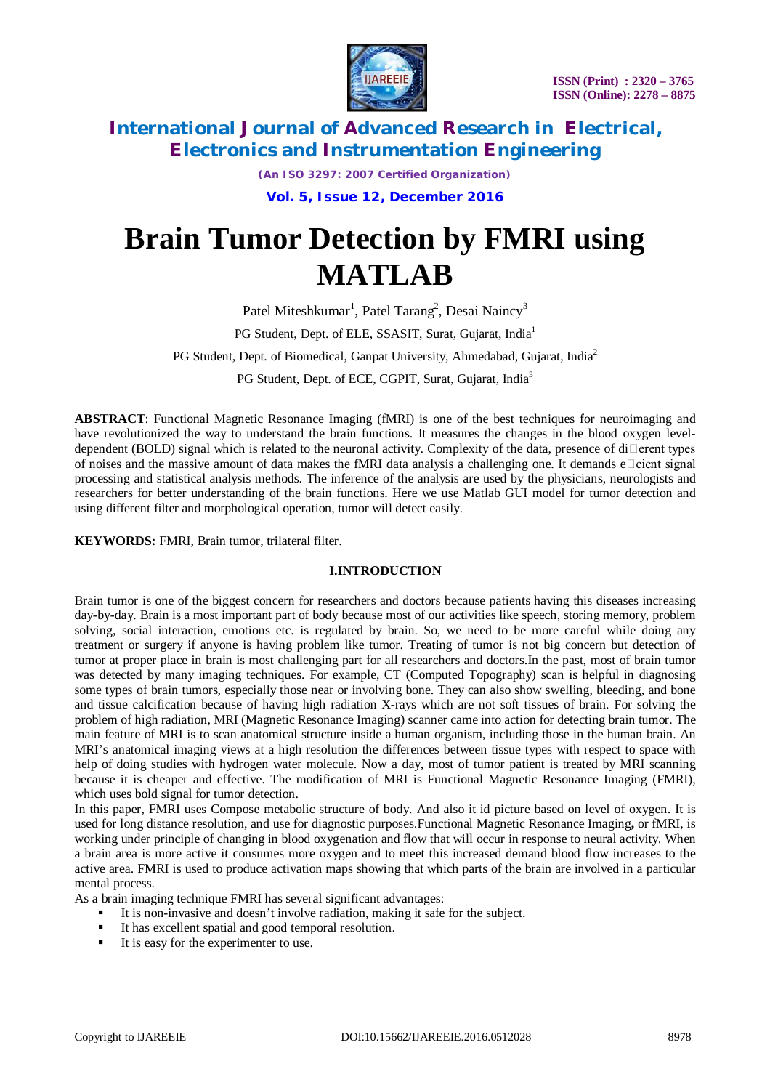

*(An ISO 3297: 2007 Certified Organization)*

**Vol. 5, Issue 12, December 2016**

# **Brain Tumor Detection by FMRI using MATLAB**

Patel Miteshkumar<sup>1</sup>, Patel Tarang<sup>2</sup>, Desai Naincy<sup>3</sup>

PG Student, Dept. of ELE, SSASIT, Surat, Gujarat, India<sup>1</sup>

PG Student, Dept. of Biomedical, Ganpat University, Ahmedabad, Gujarat, India<sup>2</sup>

PG Student, Dept. of ECE, CGPIT, Surat, Gujarat, India<sup>3</sup>

**ABSTRACT**: Functional Magnetic Resonance Imaging (fMRI) is one of the best techniques for neuroimaging and have revolutionized the way to understand the brain functions. It measures the changes in the blood oxygen leveldependent (BOLD) signal which is related to the neuronal activity. Complexity of the data, presence of di $\Box$ erent types of noises and the massive amount of data makes the fMRI data analysis a challenging one. It demands  $e$  cient signal processing and statistical analysis methods. The inference of the analysis are used by the physicians, neurologists and researchers for better understanding of the brain functions. Here we use Matlab GUI model for tumor detection and using different filter and morphological operation, tumor will detect easily.

**KEYWORDS:** FMRI, Brain tumor, trilateral filter.

#### **I.INTRODUCTION**

Brain tumor is one of the biggest concern for researchers and doctors because patients having this diseases increasing day-by-day. Brain is a most important part of body because most of our activities like speech, storing memory, problem solving, social interaction, emotions etc. is regulated by brain. So, we need to be more careful while doing any treatment or surgery if anyone is having problem like tumor. Treating of tumor is not big concern but detection of tumor at proper place in brain is most challenging part for all researchers and doctors.In the past, most of brain tumor was detected by many imaging techniques. For example, CT (Computed Topography) scan is helpful in diagnosing some types of brain tumors, especially those near or involving bone. They can also show swelling, bleeding, and bone and tissue calcification because of having high radiation X-rays which are not soft tissues of brain. For solving the problem of high radiation, MRI (Magnetic Resonance Imaging) scanner came into action for detecting brain tumor. The main feature of MRI is to scan anatomical structure inside a human organism, including those in the human brain. An MRI's anatomical imaging views at a high resolution the differences between tissue types with respect to space with help of doing studies with hydrogen water molecule. Now a day, most of tumor patient is treated by MRI scanning because it is cheaper and effective. The modification of MRI is Functional Magnetic Resonance Imaging (FMRI), which uses bold signal for tumor detection.

In this paper, FMRI uses Compose metabolic structure of body. And also it id picture based on level of oxygen. It is used for long distance resolution, and use for diagnostic purposes.Functional Magnetic Resonance Imaging**,** or fMRI, is working under principle of changing in blood oxygenation and flow that will occur in response to neural activity. When a brain area is more active it consumes more oxygen and to meet this increased demand blood flow increases to the active area. FMRI is used to produce activation maps showing that which parts of the brain are involved in a particular mental process.

As a brain imaging technique FMRI has several significant advantages:

- It is non-invasive and doesn't involve radiation, making it safe for the subject.
- It has excellent spatial and good temporal resolution.
- It is easy for the experimenter to use.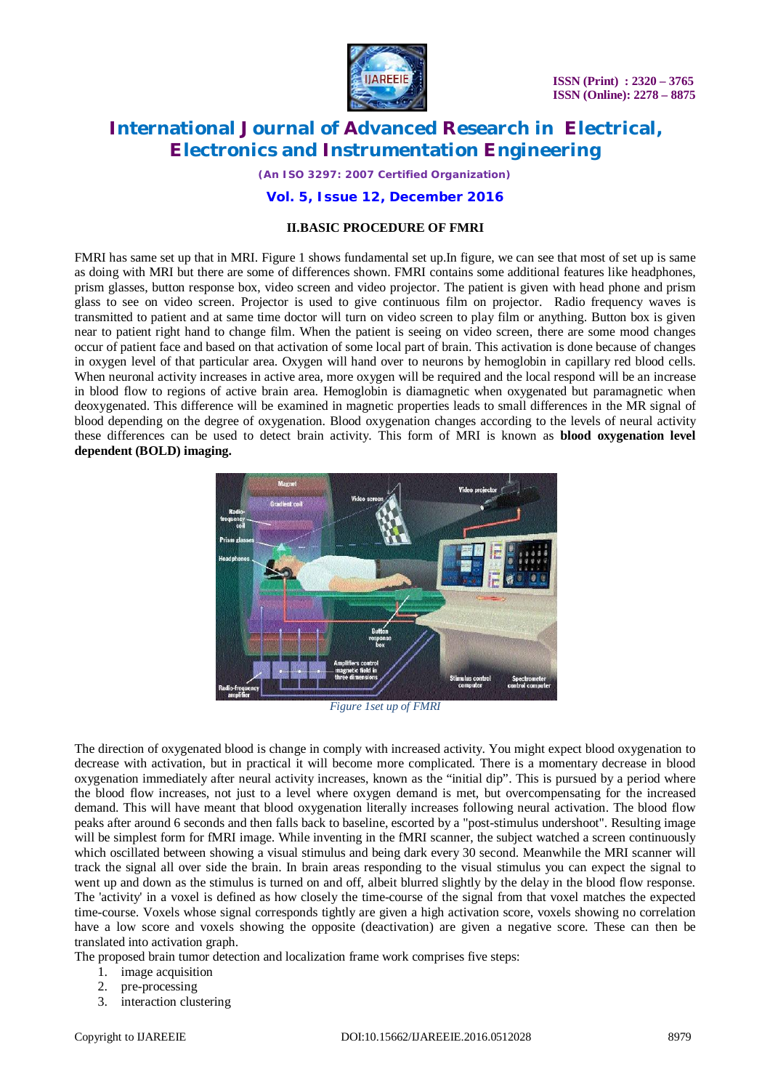

 **ISSN (Print) : 2320 – 3765 ISSN (Online): 2278 – 8875**

## **International Journal of Advanced Research in Electrical, Electronics and Instrumentation Engineering**

*(An ISO 3297: 2007 Certified Organization)*

#### **Vol. 5, Issue 12, December 2016**

#### **II.BASIC PROCEDURE OF FMRI**

FMRI has same set up that in MRI. Figure 1 shows fundamental set up.In figure, we can see that most of set up is same as doing with MRI but there are some of differences shown. FMRI contains some additional features like headphones, prism glasses, button response box, video screen and video projector. The patient is given with head phone and prism glass to see on video screen. Projector is used to give continuous film on projector. Radio frequency waves is transmitted to patient and at same time doctor will turn on video screen to play film or anything. Button box is given near to patient right hand to change film. When the patient is seeing on video screen, there are some mood changes occur of patient face and based on that activation of some local part of brain. This activation is done because of changes in oxygen level of that particular area. Oxygen will hand over to neurons by hemoglobin in capillary red blood cells. When neuronal activity increases in active area, more oxygen will be required and the local respond will be an increase in blood flow to regions of active brain area. Hemoglobin is diamagnetic when oxygenated but paramagnetic when deoxygenated. This difference will be examined in magnetic properties leads to small differences in the MR signal of blood depending on the degree of oxygenation. Blood oxygenation changes according to the levels of neural activity these differences can be used to detect brain activity. This form of MRI is known as **blood oxygenation level dependent (BOLD) imaging.**



*Figure 1set up of FMRI*

The direction of oxygenated blood is change in comply with increased activity. You might expect blood oxygenation to decrease with activation, but in practical it will become more complicated. There is a momentary decrease in blood oxygenation immediately after neural activity increases, known as the "initial dip". This is pursued by a period where the blood flow increases, not just to a level where oxygen demand is met, but overcompensating for the increased demand. This will have meant that blood oxygenation literally increases following neural activation. The blood flow peaks after around 6 seconds and then falls back to baseline, escorted by a "post-stimulus undershoot". Resulting image will be simplest form for fMRI image. While inventing in the fMRI scanner, the subject watched a screen continuously which oscillated between showing a visual stimulus and being dark every 30 second. Meanwhile the MRI scanner will track the signal all over side the brain. In brain areas responding to the visual stimulus you can expect the signal to went up and down as the stimulus is turned on and off, albeit blurred slightly by the delay in the blood flow response. The 'activity' in a voxel is defined as how closely the time-course of the signal from that voxel matches the expected time-course. Voxels whose signal corresponds tightly are given a high activation score, voxels showing no correlation have a low score and voxels showing the opposite (deactivation) are given a negative score. These can then be translated into activation graph.

The proposed brain tumor detection and localization frame work comprises five steps:

- 1. image acquisition
- 2. pre-processing
- 3. interaction clustering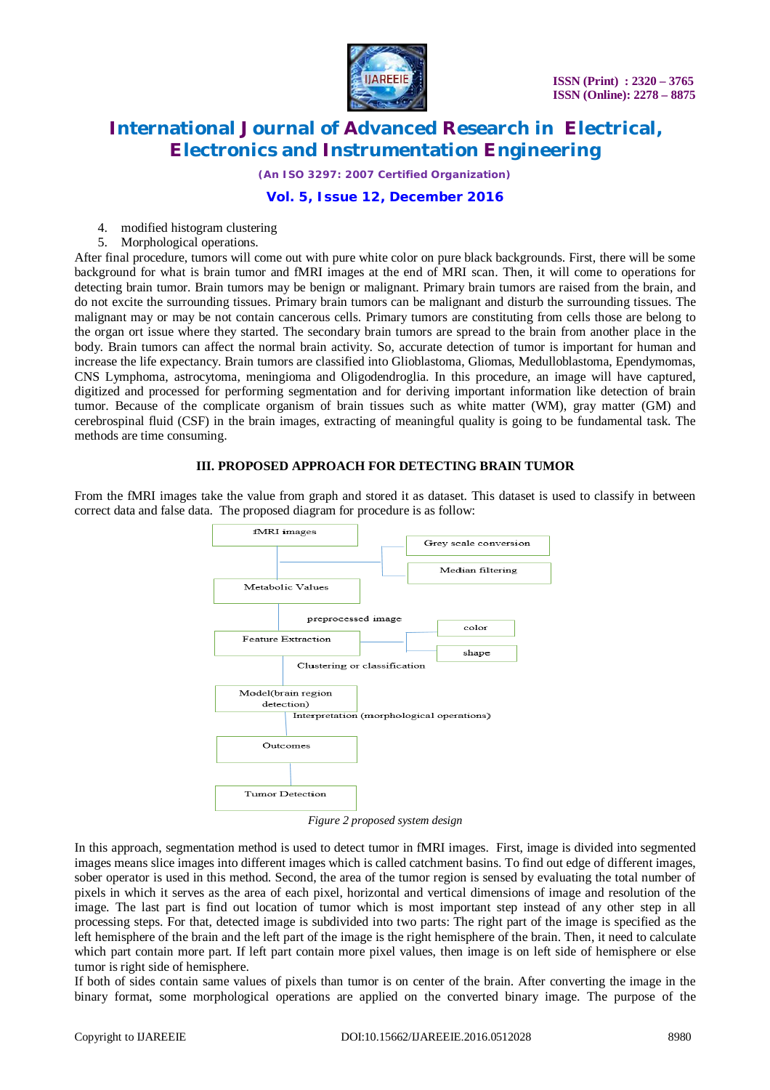

*(An ISO 3297: 2007 Certified Organization)*

## **Vol. 5, Issue 12, December 2016**

- 4. modified histogram clustering
- 5. Morphological operations.

After final procedure, tumors will come out with pure white color on pure black backgrounds. First, there will be some background for what is brain tumor and fMRI images at the end of MRI scan. Then, it will come to operations for detecting brain tumor. Brain tumors may be benign or malignant. Primary brain tumors are raised from the brain, and do not excite the surrounding tissues. Primary brain tumors can be malignant and disturb the surrounding tissues. The malignant may or may be not contain cancerous cells. Primary tumors are constituting from cells those are belong to the organ ort issue where they started. The secondary brain tumors are spread to the brain from another place in the body. Brain tumors can affect the normal brain activity. So, accurate detection of tumor is important for human and increase the life expectancy. Brain tumors are classified into Glioblastoma, Gliomas, Medulloblastoma, Ependymomas, CNS Lymphoma, astrocytoma, meningioma and Oligodendroglia. In this procedure, an image will have captured, digitized and processed for performing segmentation and for deriving important information like detection of brain tumor. Because of the complicate organism of brain tissues such as white matter (WM), gray matter (GM) and cerebrospinal fluid (CSF) in the brain images, extracting of meaningful quality is going to be fundamental task. The methods are time consuming.

#### **III. PROPOSED APPROACH FOR DETECTING BRAIN TUMOR**

From the fMRI images take the value from graph and stored it as dataset. This dataset is used to classify in between correct data and false data. The proposed diagram for procedure is as follow:



*Figure 2 proposed system design*

In this approach, segmentation method is used to detect tumor in fMRI images. First, image is divided into segmented images means slice images into different images which is called catchment basins. To find out edge of different images, sober operator is used in this method. Second, the area of the tumor region is sensed by evaluating the total number of pixels in which it serves as the area of each pixel, horizontal and vertical dimensions of image and resolution of the image. The last part is find out location of tumor which is most important step instead of any other step in all processing steps. For that, detected image is subdivided into two parts: The right part of the image is specified as the left hemisphere of the brain and the left part of the image is the right hemisphere of the brain. Then, it need to calculate which part contain more part. If left part contain more pixel values, then image is on left side of hemisphere or else tumor is right side of hemisphere.

If both of sides contain same values of pixels than tumor is on center of the brain. After converting the image in the binary format, some morphological operations are applied on the converted binary image. The purpose of the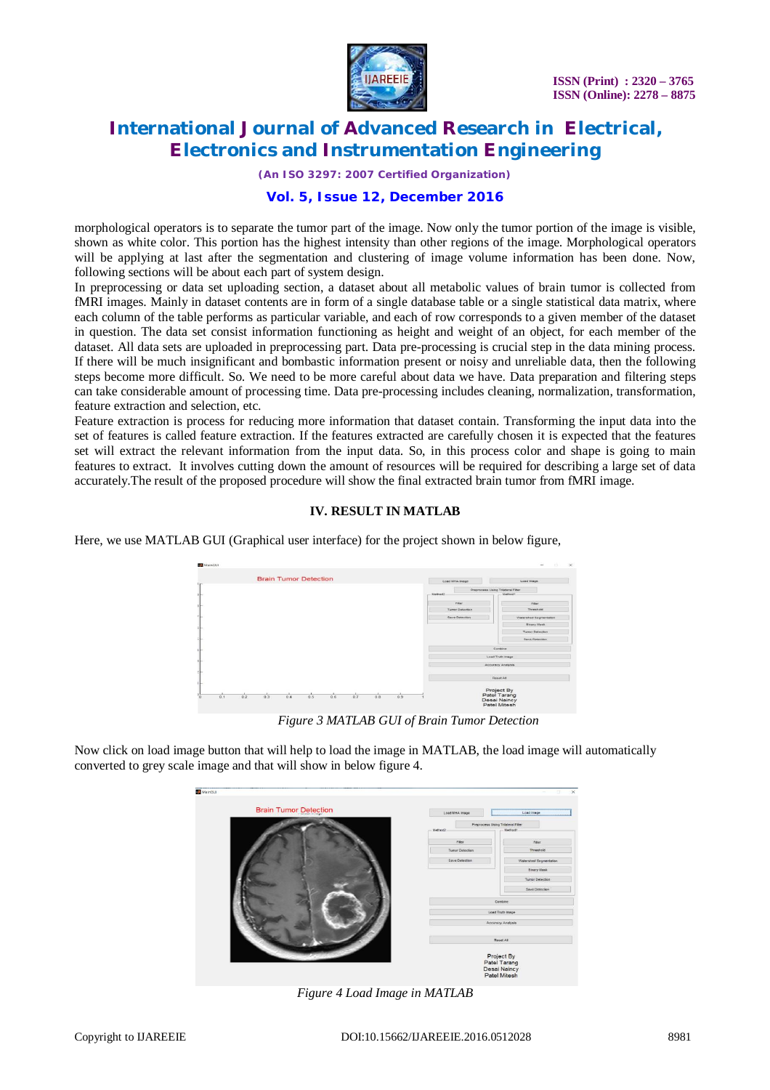

*(An ISO 3297: 2007 Certified Organization)*

#### **Vol. 5, Issue 12, December 2016**

morphological operators is to separate the tumor part of the image. Now only the tumor portion of the image is visible, shown as white color. This portion has the highest intensity than other regions of the image. Morphological operators will be applying at last after the segmentation and clustering of image volume information has been done. Now, following sections will be about each part of system design.

In preprocessing or data set uploading section, a dataset about all metabolic values of brain tumor is collected from fMRI images. Mainly in dataset contents are in form of a single database table or a single statistical data matrix, where each column of the table performs as particular variable, and each of row corresponds to a given member of the dataset in question. The data set consist information functioning as height and weight of an object, for each member of the dataset. All data sets are uploaded in preprocessing part. Data pre-processing is crucial step in the data mining process. If there will be much insignificant and bombastic information present or noisy and unreliable data, then the following steps become more difficult. So. We need to be more careful about data we have. Data preparation and filtering steps can take considerable amount of processing time. Data pre-processing includes cleaning, normalization, transformation, feature extraction and selection, etc.

Feature extraction is process for reducing more information that dataset contain. Transforming the input data into the set of features is called feature extraction. If the features extracted are carefully chosen it is expected that the features set will extract the relevant information from the input data. So, in this process color and shape is going to main features to extract. It involves cutting down the amount of resources will be required for describing a large set of data accurately.The result of the proposed procedure will show the final extracted brain tumor from fMRI image.

#### **IV. RESULT IN MATLAB**

Here, we use MATLAB GUI (Graphical user interface) for the project shown in below figure,

| MainGUI |     |                              |     |     |         |     |                                              |  |                                   | $\frac{1}{2} \left( \frac{1}{2} \right) \left( \frac{1}{2} \right) \left( \frac{1}{2} \right)$<br><b>IN</b> |
|---------|-----|------------------------------|-----|-----|---------|-----|----------------------------------------------|--|-----------------------------------|-------------------------------------------------------------------------------------------------------------|
|         |     | <b>Brain Tumor Detection</b> |     |     |         |     |                                              |  | Load MHA Image                    | Load Image                                                                                                  |
|         |     |                              |     |     | Method2 |     | Preprocess Using Triisteral Fiter<br>Method? |  |                                   |                                                                                                             |
|         |     |                              |     |     |         |     |                                              |  | Filter<br><b>Turnor Detection</b> | <b>Filter</b><br>Threshold                                                                                  |
|         |     |                              |     |     |         |     |                                              |  | Save Detection                    | Watershed Segmentation<br><b>Binary Hask</b>                                                                |
|         |     |                              |     |     |         |     |                                              |  |                                   | Tumor Detection                                                                                             |
|         |     |                              |     |     |         |     |                                              |  |                                   | Save Detection<br>Combine                                                                                   |
|         |     |                              |     |     |         |     |                                              |  |                                   | <b>Load Truth Image</b>                                                                                     |
|         |     |                              |     |     |         |     |                                              |  |                                   | Accuracy Analysis                                                                                           |
|         |     |                              |     |     |         |     |                                              |  |                                   | <b>Reset At</b>                                                                                             |
| 0.1     | 0.2 | 0.3<br>0.4                   | 0.5 | 0.6 | 0.7     | 0.8 | 0.9                                          |  |                                   | Project By<br>Patel Tarang<br>Desai Naincy<br>Patel Mitesh                                                  |

*Figure 3 MATLAB GUI of Brain Tumor Detection*

Now click on load image button that will help to load the image in MATLAB, the load image will automatically converted to grey scale image and that will show in below figure 4.

| <b>Brain Tumor Detection</b> | Load MHA Image          | Load Image                        |  |
|------------------------------|-------------------------|-----------------------------------|--|
|                              |                         | Preprocess Using Triateral Filter |  |
|                              | Method2                 | Method1                           |  |
|                              | fiter                   | Fiter                             |  |
|                              | <b>Turnor Detection</b> | Threshold                         |  |
|                              | Save Detection          | Watershed Segmentation            |  |
|                              |                         | <b>Binary Mask</b>                |  |
|                              |                         | <b>Tumor Detection</b>            |  |
|                              |                         | Save Detection                    |  |
|                              |                         | Combine                           |  |
|                              |                         | Load Truth Image                  |  |
|                              |                         | Accuracy Analysis                 |  |
|                              |                         | Reset All                         |  |
|                              |                         | Project By<br>Patel Tarang        |  |

*Figure 4 Load Image in MATLAB*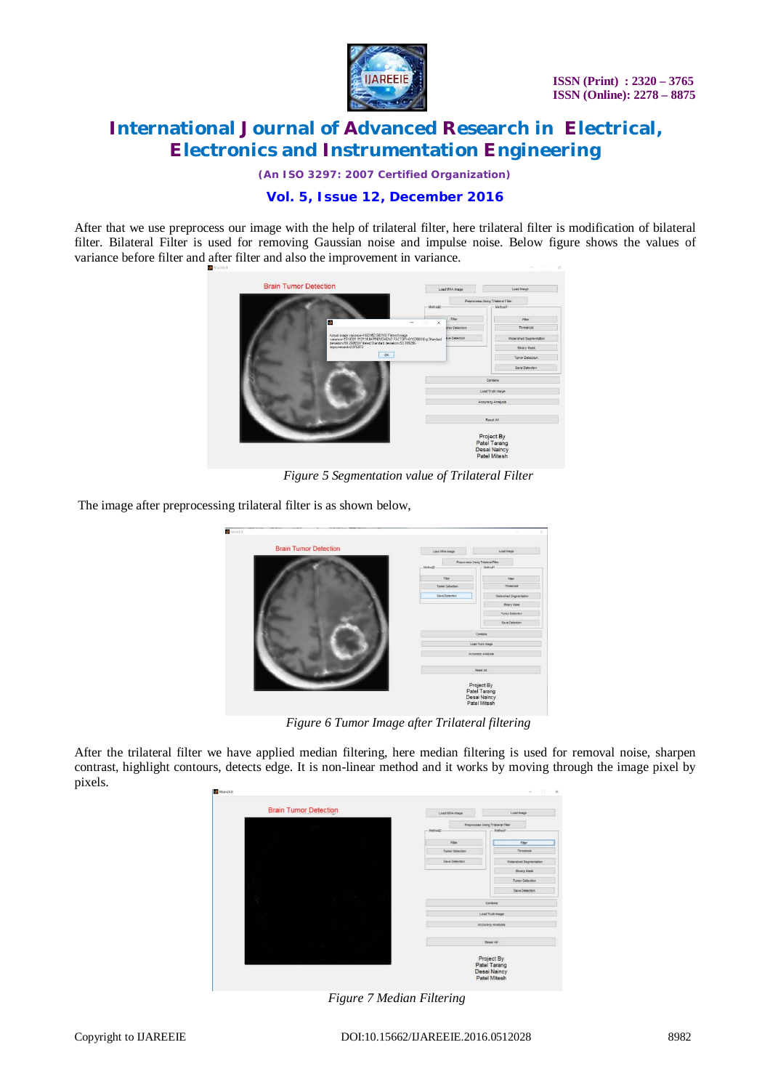

*(An ISO 3297: 2007 Certified Organization)*

## **Vol. 5, Issue 12, December 2016**

After that we use preprocess our image with the help of trilateral filter, here trilateral filter is modification of bilateral filter. Bilateral Filter is used for removing Gaussian noise and impulse noise. Below figure shows the values of variance before filter and after filter and also the improvement in variance.



*Figure 5 Segmentation value of Trilateral Filter*

The image after preprocessing trilateral filter is as shown below,

| <b>Brain Tumor Detection</b> | Load MHA Inage                                             | Load Image                        |
|------------------------------|------------------------------------------------------------|-----------------------------------|
|                              |                                                            | Preprocess Using Triateral Filter |
|                              | Method2                                                    | Method1                           |
|                              | raer                                                       | Fiter                             |
|                              | <b>Tumor Detection</b>                                     | Threshold                         |
|                              | Save Detection                                             | Watershed Segmentation            |
|                              |                                                            | Sinary Mask                       |
|                              |                                                            | Tumor Detection                   |
|                              |                                                            | Save Detection                    |
|                              |                                                            | Combine                           |
|                              |                                                            | Load Truth Image                  |
|                              |                                                            | <b>Accuracy Analysis</b>          |
|                              |                                                            |                                   |
|                              |                                                            | Reset All                         |
|                              | Project By<br>Patel Tarang<br>Desai Naincy<br>Patel Mitesh |                                   |
|                              |                                                            |                                   |

*Figure 6 Tumor Image after Trilateral filtering*

After the trilateral filter we have applied median filtering, here median filtering is used for removal noise, sharpen contrast, highlight contours, detects edge. It is non-linear method and it works by moving through the image pixel by pixels.

|   | <b>Brain Tumor Detection</b> | Load MHA Image         | Load Image                       |  |
|---|------------------------------|------------------------|----------------------------------|--|
|   |                              |                        | Preprocess Using Triateral Fiter |  |
|   |                              | $-$ Method2            | -Method1-                        |  |
|   |                              | Fiber                  | Fiter                            |  |
|   |                              | <b>Tuner Detection</b> | Threshold                        |  |
|   |                              | Save Detection         | Watershed Segmentation           |  |
|   |                              |                        | Brary Mask                       |  |
|   |                              |                        | <b>Tumor Detection</b>           |  |
|   |                              |                        | Save Detection                   |  |
| × |                              |                        | Combine                          |  |
|   |                              |                        | Load Truth Image                 |  |
|   |                              |                        | Accuracy Analysis                |  |
|   |                              |                        |                                  |  |
|   |                              |                        | Reset All                        |  |
|   |                              |                        |                                  |  |
|   |                              |                        | Project By<br>Patel Tarang       |  |
|   |                              |                        | Desai Naincy                     |  |
|   |                              |                        | Patel Mitesh                     |  |

*Figure 7 Median Filtering*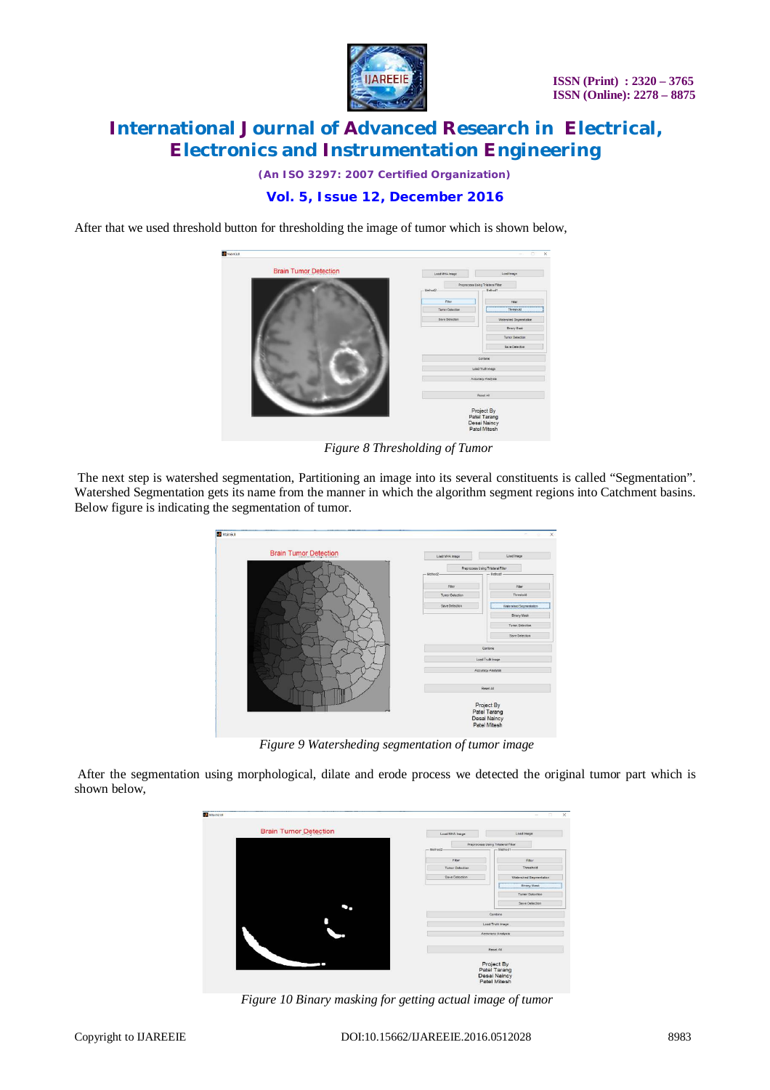

*(An ISO 3297: 2007 Certified Organization)*

## **Vol. 5, Issue 12, December 2016**

After that we used threshold button for thresholding the image of tumor which is shown below,



*Figure 8 Thresholding of Tumor*

The next step is watershed segmentation, Partitioning an image into its several constituents is called "Segmentation". Watershed Segmentation gets its name from the manner in which the algorithm segment regions into Catchment basins. Below figure is indicating the segmentation of tumor.

| <b>Brain Tumor Detection</b> | Load UHA Inage          | Load Image                                   |
|------------------------------|-------------------------|----------------------------------------------|
|                              | Method2                 | Preprocess Using Triateral Filter<br>Method1 |
|                              | Fiter                   | Fiter                                        |
|                              | <b>Turnor Detection</b> | Threshold                                    |
|                              | Save Detection          | Watershed Segmentation                       |
|                              |                         | <b>Binary Mask</b>                           |
|                              |                         | <b>Tumor Detection</b>                       |
|                              |                         | Save Detection                               |
|                              |                         | Combine                                      |
|                              |                         | Load Truth Image                             |
|                              |                         | Accuracy Analysis                            |
|                              |                         | Reset All                                    |
|                              |                         | Project By<br>Patel Tarang                   |

*Figure 9 Watersheding segmentation of tumor image*

After the segmentation using morphological, dilate and erode process we detected the original tumor part which is shown below,



*Figure 10 Binary masking for getting actual image of tumor*